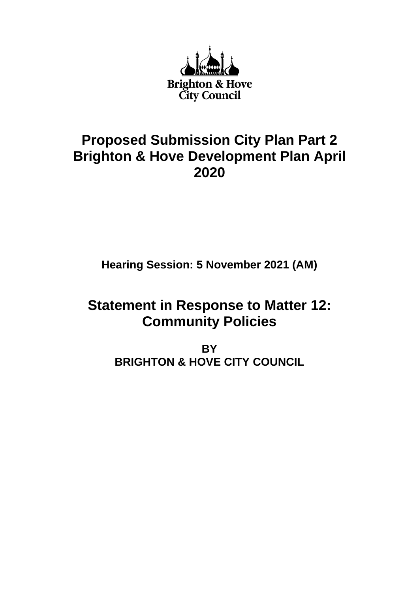

# **Proposed Submission City Plan Part 2 Brighton & Hove Development Plan April 2020**

**Hearing Session: 5 November 2021 (AM)**

# **Statement in Response to Matter 12: Community Policies**

**BY BRIGHTON & HOVE CITY COUNCIL**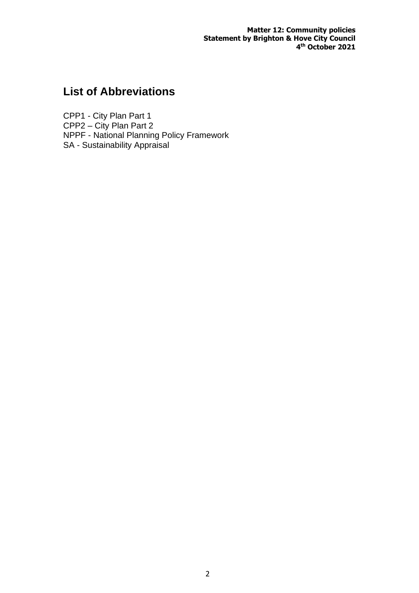**Matter 12: Community policies Statement by Brighton & Hove City Council 4 th October 2021**

## **List of Abbreviations**

CPP1 - City Plan Part 1 CPP2 – City Plan Part 2 NPPF - National Planning Policy Framework SA - Sustainability Appraisal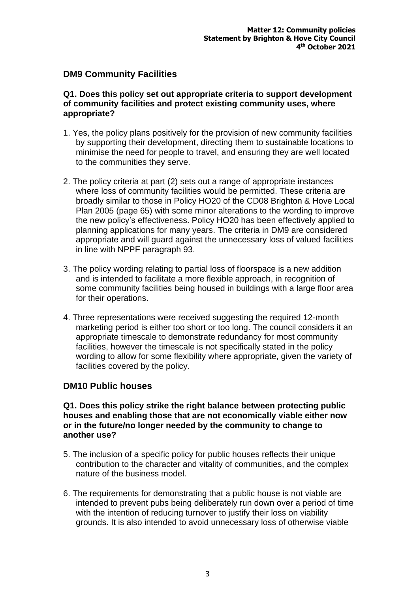### **DM9 Community Facilities**

#### **Q1. Does this policy set out appropriate criteria to support development of community facilities and protect existing community uses, where appropriate?**

- 1. Yes, the policy plans positively for the provision of new community facilities by supporting their development, directing them to sustainable locations to minimise the need for people to travel, and ensuring they are well located to the communities they serve.
- 2. The policy criteria at part (2) sets out a range of appropriate instances where loss of community facilities would be permitted. These criteria are broadly similar to those in Policy HO20 of the CD08 Brighton & Hove Local Plan 2005 (page 65) with some minor alterations to the wording to improve the new policy's effectiveness. Policy HO20 has been effectively applied to planning applications for many years. The criteria in DM9 are considered appropriate and will guard against the unnecessary loss of valued facilities in line with NPPF paragraph 93.
- 3. The policy wording relating to partial loss of floorspace is a new addition and is intended to facilitate a more flexible approach, in recognition of some community facilities being housed in buildings with a large floor area for their operations.
- 4. Three representations were received suggesting the required 12-month marketing period is either too short or too long. The council considers it an appropriate timescale to demonstrate redundancy for most community facilities, however the timescale is not specifically stated in the policy wording to allow for some flexibility where appropriate, given the variety of facilities covered by the policy.

### **DM10 Public houses**

#### **Q1. Does this policy strike the right balance between protecting public houses and enabling those that are not economically viable either now or in the future/no longer needed by the community to change to another use?**

- 5. The inclusion of a specific policy for public houses reflects their unique contribution to the character and vitality of communities, and the complex nature of the business model.
- 6. The requirements for demonstrating that a public house is not viable are intended to prevent pubs being deliberately run down over a period of time with the intention of reducing turnover to justify their loss on viability grounds. It is also intended to avoid unnecessary loss of otherwise viable